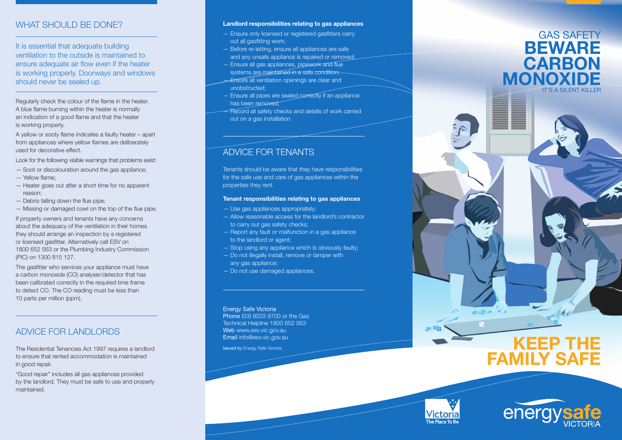# ULD BE DONE

It is essential that adequate building ventilation to the outside is maintained to ensure adequate air flow even if the heater is working properly. Doorways and windows should never be sealed up.

Regularly check the colour of the flame in the heater. A blue flame burning within the heater is normally an indication of a good flame and that the heater is working properly.

A yellow or sooty flame indicates a faulty heater – apart from appliances where yellow flames are deliberately used for decorative effect.

Look for the following visible warnings that problems exist: — Soot or discolouration around the gas appliance;

- 
- Yellow flame;
- Heater goes out after a short time for no apparent reason;
- Debris falling down the flue pipe;
- Missing or damaged cowl on the top of the flue pipe.

If property owners and tenants have any concerns about the adequacy of the ventilation in their homes they should arrange an inspection by a registered or licensed gasfitter. Alternatively call ESV on 1800 652 563 or the Plumbing Industry Commission (PIC) on 1300 815 127. WHAT S<br>
It is essen<br>
ventilation<br>
ensure ad<br>
is working<br>
should ne<br>
Regularly ch<br>
A blue flame<br>
an indication<br>
is working pl<br>
A yellow or s<br>
from applian<br>
used for decompling<br>
Look for the indicator<br>
- Debris fall<br>
- Missi

The gasfitter who services your appliance must have a carbon monoxide (CO) analyser/detector that has been calibrated correctly in the required time frame to detect CO. The CO reading must be less than 10 parts per million (ppm).

# Advice for landlords

The Residential Tenancies Act 1997 requires a landlord to ensure that rented accommodation is maintained in good repair.

"Good repair" includes all gas appliances provided by the landlord. They must be safe to use and properly maintained.

### ? **Landlord responsibilities relating to gas appliances**

- Ensure only licensed or registered gasfitters carry out all gasfitting work;
- Before re-letting, ensure all appliances are safe and any unsafe appliance is repaired or removed;
- Ensure all gas appliances, pipework and flue systems are maintained in a safe condition
- **Ensure all ventilation openings are clear and** unobstructed;
- Ensure all pipes are sealed correctly if an appliance has been removed;
- Record all safety checks and details of work carried out on a gas installation.

# ADVICE FOR TENANT

Tenants should be aware that they have responsibilities for the safe use and care of gas appliances within the properties they rent.

## **Tenant responsibilities relating to gas appliances**

- Use gas appliances appropriately;
- Allow reasonable access for the landlord's contractor to carry out gas safety checks;
- Report any fault or malfunction in a gas appliance to the landlord or agent;
- Stop using any appliance which is obviously faulty;
- Do not illegally install, remove or tamper with any gas appliance;
- Do not use damaged appliances.

Energy Safe Victoria Phone (03) 9203 9700 or the Gas Technical Helpline 1800 652 563 Web www.esv.vic.gov.au Email info@esv.vic.gov.au

Issued by Energy Safe Victoria

# GAS SAFETY **BEWARE CARBON MONOXIDE** IT'S A SILENT KILLER